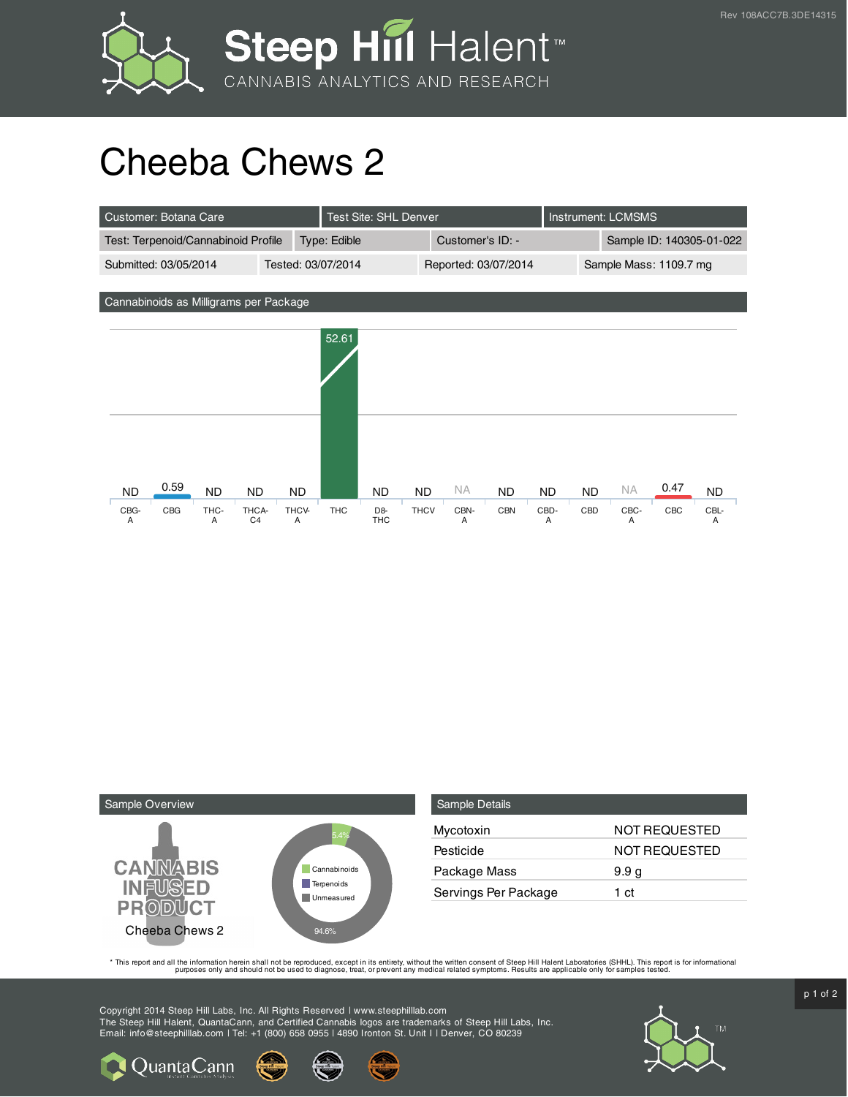



## Cheeba Chews 2

| Customer: Botana Care                  |                         |            | <b>Test Site: SHL Denver</b>               |             |                      |            | <b>Instrument: LCMSMS</b> |                          |           |      |           |
|----------------------------------------|-------------------------|------------|--------------------------------------------|-------------|----------------------|------------|---------------------------|--------------------------|-----------|------|-----------|
| Test: Terpenoid/Cannabinoid Profile    |                         |            | Type: Edible                               |             | Customer's ID: -     |            |                           | Sample ID: 140305-01-022 |           |      |           |
| Submitted: 03/05/2014                  |                         |            | Tested: 03/07/2014                         |             | Reported: 03/07/2014 |            | Sample Mass: 1109.7 mg    |                          |           |      |           |
|                                        |                         |            |                                            |             |                      |            |                           |                          |           |      |           |
| Cannabinoids as Milligrams per Package |                         |            |                                            |             |                      |            |                           |                          |           |      |           |
|                                        |                         |            |                                            |             |                      |            |                           |                          |           |      |           |
|                                        |                         |            | 52.61                                      |             |                      |            |                           |                          |           |      |           |
|                                        |                         |            |                                            |             |                      |            |                           |                          |           |      |           |
|                                        |                         |            |                                            |             |                      |            |                           |                          |           |      |           |
|                                        |                         |            |                                            |             |                      |            |                           |                          |           |      |           |
|                                        |                         |            |                                            |             |                      |            |                           |                          |           |      |           |
|                                        |                         |            |                                            |             |                      |            |                           |                          |           |      |           |
| 0.59                                   |                         |            |                                            |             |                      |            |                           |                          |           |      |           |
| <b>ND</b><br><b>ND</b>                 | <b>ND</b>               | <b>ND</b>  | <b>ND</b>                                  | <b>ND</b>   | ΝA                   | <b>ND</b>  | <b>ND</b>                 | <b>ND</b>                | <b>NA</b> | 0.47 | <b>ND</b> |
| CBG<br>THC-<br>CBG-<br>Α<br>A          | THCA-<br>C <sub>4</sub> | THCV-<br>Α | <b>THC</b><br>D <sub>8</sub><br><b>THC</b> | <b>THCV</b> | CBN-<br>Α            | <b>CBN</b> | CBD-<br>Α                 | CBD                      | CBC-<br>A | CBC  | CBL-<br>Α |



**Q** Quanta Cann

| Sample Details       |                      |
|----------------------|----------------------|
| Mycotoxin            | <b>NOT REQUESTED</b> |
| Pesticide            | NOT REQUESTED        |
| Package Mass         | 9.9 <sub>g</sub>     |
| Servings Per Package | 1 ct                 |

This report and all the information herein shall not be reporduced, except in its entirety, without the written consent of Steep Hill Halent Laboratories (SHHL). This report is for informational all the instance, treat, or

Copyright 2014 Steep Hill Labs, Inc. All Rights Reserved | www.steephilllab.com The Steep Hill Halent, QuantaCann, and Certified Cannabis logos are trademarks of Steep Hill Labs, Inc. Email: info@steephilllab.com | Tel: +1 (800) 658 0955 | 4890 Ironton St. Unit I | Denver, CO 80239